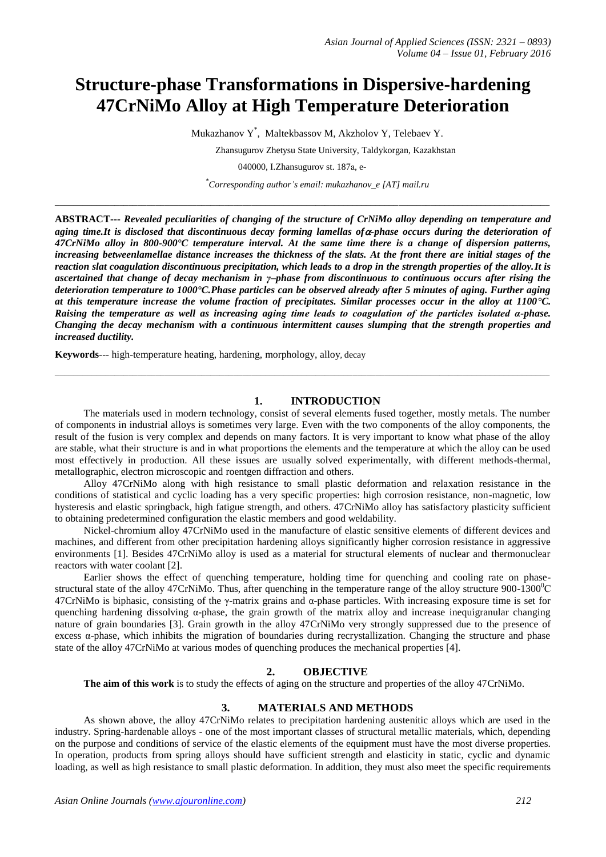# **Structure-phase Transformations in Dispersive-hardening 47CrNiMo Alloy at High Temperature Deterioration**

Mukazhanov Y \* , Maltekbassov M, Akzholov Y, Telebaev Y.

Zhansugurov Zhetysu State University, Taldykorgan, Kazakhstan

040000, I.Zhansugurov st. 187а, e-

*\_\_\_\_\_\_\_\_\_\_\_\_\_\_\_\_\_\_\_\_\_\_\_\_\_\_\_\_\_\_\_\_\_\_\_\_\_\_\_\_\_\_\_\_\_\_\_\_\_\_\_\_\_\_\_\_\_\_\_\_\_\_\_\_\_\_\_\_\_\_\_\_\_\_\_\_\_\_\_\_\_\_\_\_\_\_\_\_\_\_\_\_\_\_\_\_\_\_\_\_\_\_\_\_\_\_\_\_*

*\* Corresponding author's email: mukazhanov\_e [AT] mail.ru*

**ABSTRACT---** *Revealed peculiarities of changing of the structure of CrNiMo alloy depending on temperature and aging time.It is disclosed that discontinuous decay forming lamellas of-phase occurs during the deterioration of 47CrNiMo alloy in 800-900°C temperature interval. At the same time there is a change of dispersion patterns, increasing betweenlamellae distance increases the thickness of the slats. At the front there are initial stages of the reaction slat coagulation discontinuous precipitation, which leads to a drop in the strength properties of the alloy.It is ascertained that change of decay mechanism in γ–phase from discontinuous to continuous occurs after rising the deterioration temperature to 1000°C.Phase particles can be observed already after 5 minutes of aging. Further aging at this temperature increase the volume fraction of precipitates. Similar processes occur in the alloy at 1100°C. Raising the temperature as well as increasing aging time leads to coagulation of the particles isolated α-phase. Changing the decay mechanism with a continuous intermittent causes slumping that the strength properties and increased ductility.*

**Keywords**--- high-temperature heating, hardening, morphology, alloy, decay

### **1. INTRODUCTION**

The materials used in modern technology, consist of several elements fused together, mostly metals. The number of components in industrial alloys is sometimes very large. Even with the two components of the alloy components, the result of the fusion is very complex and depends on many factors. It is very important to know what phase of the alloy are stable, what their structure is and in what proportions the elements and the temperature at which the alloy can be used most effectively in production. All these issues are usually solved experimentally, with different methods-thermal, metallographic, electron microscopic and roentgen diffraction and others.

\_\_\_\_\_\_\_\_\_\_\_\_\_\_\_\_\_\_\_\_\_\_\_\_\_\_\_\_\_\_\_\_\_\_\_\_\_\_\_\_\_\_\_\_\_\_\_\_\_\_\_\_\_\_\_\_\_\_\_\_\_\_\_\_\_\_\_\_\_\_\_\_\_\_\_\_\_\_\_\_\_\_\_\_\_\_\_\_\_\_\_\_\_\_\_\_\_\_\_\_\_\_\_\_\_\_\_\_

Alloy 47CrNiMo along with high resistance to small plastic deformation and relaxation resistance in the conditions of statistical and cyclic loading has a very specific properties: high corrosion resistance, non-magnetic, low hysteresis and elastic springback, high fatigue strength, and others. 47CrNiMo alloy has satisfactory plasticity sufficient to obtaining predetermined configuration the elastic members and good weldability.

Nickel-chromium alloy 47CrNiMo used in the manufacture of elastic sensitive elements of different devices and machines, and different from other precipitation hardening alloys significantly higher corrosion resistance in aggressive environments [1]. Besides 47CrNiMo alloy is used as a material for structural elements of nuclear and thermonuclear reactors with water coolant [2].

Earlier shows the effect of quenching temperature, holding time for quenching and cooling rate on phasestructural state of the alloy 47CrNiMo. Thus, after quenching in the temperature range of the alloy structure  $900-1300^{\circ}$ C 47CrNiMo is biphasic, consisting of the γ-matrix grains and  $\alpha$ -phase particles. With increasing exposure time is set for quenching hardening dissolving  $\alpha$ -phase, the grain growth of the matrix alloy and increase inequigranular changing nature of grain boundaries [3]. Grain growth in the alloy 47CrNiMo very strongly suppressed due to the presence of excess α-phase, which inhibits the migration of boundaries during recrystallization. Changing the structure and phase state of the alloy 47CrNiMo at various modes of quenching produces the mechanical properties [4].

# **2. OBJECTIVE**

**The aim of this work** is to study the effects of aging on the structure and properties of the alloy 47CrNiMo.

# **3. MATERIALS AND METHODS**

As shown above, the alloy 47CrNiMo relates to precipitation hardening austenitic alloys which are used in the industry. Spring-hardenable alloys - one of the most important classes of structural metallic materials, which, depending on the purpose and conditions of service of the elastic elements of the equipment must have the most diverse properties. In operation, products from spring alloys should have sufficient strength and elasticity in static, cyclic and dynamic loading, as well as high resistance to small plastic deformation. In addition, they must also meet the specific requirements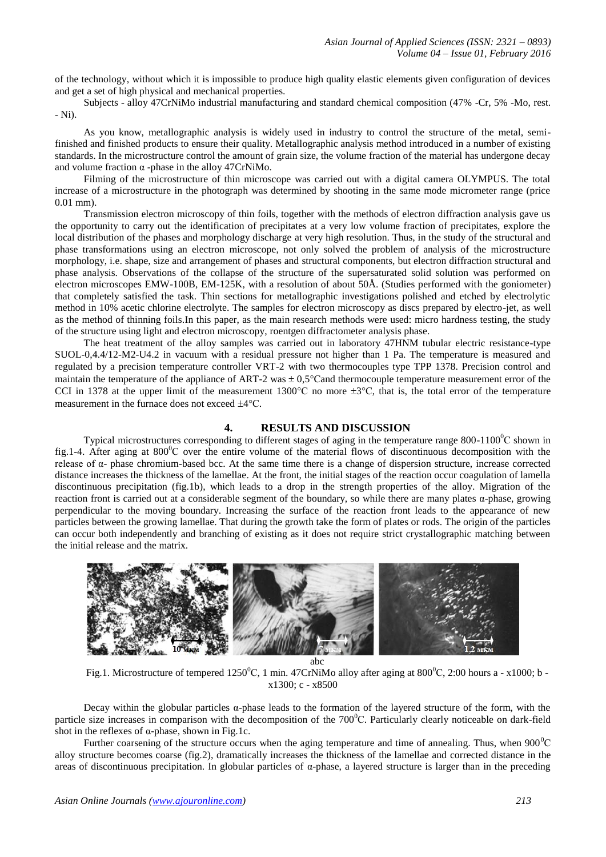of the technology, without which it is impossible to produce high quality elastic elements given configuration of devices and get a set of high physical and mechanical properties.

Subjects - alloy 47CrNiMo industrial manufacturing and standard chemical composition (47% -Cr, 5% -Mo, rest. - Ni).

As you know, metallographic analysis is widely used in industry to control the structure of the metal, semifinished and finished products to ensure their quality. Metallographic analysis method introduced in a number of existing standards. In the microstructure control the amount of grain size, the volume fraction of the material has undergone decay and volume fraction  $\alpha$  -phase in the alloy 47CrNiMo.

Filming of the microstructure of thin microscope was carried out with a digital camera OLYMPUS. The total increase of a microstructure in the photograph was determined by shooting in the same mode micrometer range (price 0.01 mm).

Transmission electron microscopy of thin foils, together with the methods of electron diffraction analysis gave us the opportunity to carry out the identification of precipitates at a very low volume fraction of precipitates, explore the local distribution of the phases and morphology discharge at very high resolution. Thus, in the study of the structural and phase transformations using an electron microscope, not only solved the problem of analysis of the microstructure morphology, i.e. shape, size and arrangement of phases and structural components, but electron diffraction structural and phase analysis. Observations of the collapse of the structure of the supersaturated solid solution was performed on electron microscopes EMW-100B, EM-125K, with a resolution of about 50Å. (Studies performed with the goniometer) that completely satisfied the task. Thin sections for metallographic investigations polished and etched by electrolytic method in 10% acetic chlorine electrolyte. The samples for electron microscopy as discs prepared by electro-jet, as well as the method of thinning foils.In this paper, as the main research methods were used: micro hardness testing, the study of the structure using light and electron microscopy, roentgen diffractometer analysis phase.

The heat treatment of the alloy samples was carried out in laboratory 47HNM tubular electric resistance-type SUOL-0,4.4/12-M2-U4.2 in vacuum with a residual pressure not higher than 1 Pa. The temperature is measured and regulated by a precision temperature controller VRT-2 with two thermocouples type TPP 1378. Precision control and maintain the temperature of the appliance of ART-2 was  $\pm 0.5^{\circ}$ Cand thermocouple temperature measurement error of the CCI in 1378 at the upper limit of the measurement 1300 $^{\circ}$ C no more  $\pm 3^{\circ}$ C, that is, the total error of the temperature measurement in the furnace does not exceed  $\pm 4^{\circ}$ C.

## **4. RESULTS AND DISCUSSION**

Typical microstructures corresponding to different stages of aging in the temperature range  $800-1100^{\circ}C$  shown in fig.1-4. After aging at  $800^{\circ}$ C over the entire volume of the material flows of discontinuous decomposition with the release of  $α$ - phase chromium-based bcc. At the same time there is a change of dispersion structure, increase corrected distance increases the thickness of the lamellae. At the front, the initial stages of the reaction occur coagulation of lamella discontinuous precipitation (fig.1b), which leads to a drop in the strength properties of the alloy. Migration of the reaction front is carried out at a considerable segment of the boundary, so while there are many plates α-phase, growing perpendicular to the moving boundary. Increasing the surface of the reaction front leads to the appearance of new particles between the growing lamellae. That during the growth take the form of plates or rods. The origin of the particles can occur both independently and branching of existing as it does not require strict crystallographic matching between the initial release and the matrix.



abc

Fig.1. Microstructure of tempered 1250<sup>°</sup>C, 1 min. 47CrNiMo alloy after aging at 800<sup>°</sup>C, 2:00 hours a - x1000; b x1300; c - x8500

Decay within the globular particles  $\alpha$ -phase leads to the formation of the layered structure of the form, with the particle size increases in comparison with the decomposition of the  $700^{\circ}$ C. Particularly clearly noticeable on dark-field shot in the reflexes of  $\alpha$ -phase, shown in Fig.1c.

Further coarsening of the structure occurs when the aging temperature and time of annealing. Thus, when  $900^{\circ}$ C alloy structure becomes coarse (fig.2), dramatically increases the thickness of the lamellae and corrected distance in the areas of discontinuous precipitation. In globular particles of α-phase, a layered structure is larger than in the preceding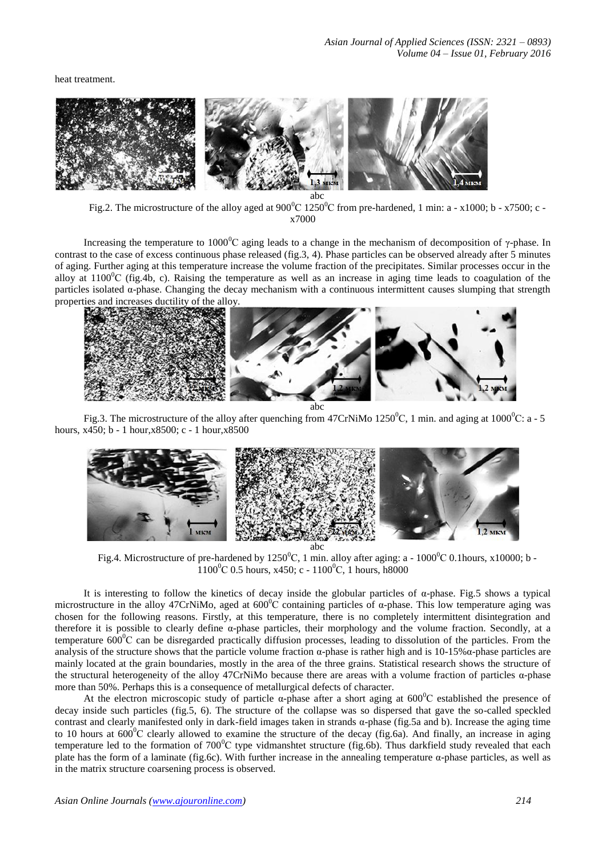heat treatment.



Fig.2. The microstructure of the alloy aged at  $900^{\circ}$ C 1250<sup>o</sup>C from pre-hardened, 1 min: a - x1000; b - x7500; c x7000

Increasing the temperature to 1000<sup>o</sup>C aging leads to a change in the mechanism of decomposition of  $\gamma$ -phase. In contrast to the case of excess continuous phase released (fig.3, 4). Phase particles can be observed already after 5 minutes of aging. Further aging at this temperature increase the volume fraction of the precipitates. Similar processes occur in the alloy at  $1100^{\circ}$ C (fig.4b, c). Raising the temperature as well as an increase in aging time leads to coagulation of the particles isolated α-phase. Changing the decay mechanism with a continuous intermittent causes slumping that strength properties and increases ductility of the alloy.



Fig.3. The microstructure of the alloy after quenching from 47CrNiMo 1250<sup>0</sup>C, 1 min. and aging at 1000<sup>0</sup>C: a - 5 hours, x450; b - 1 hour,x8500; c - 1 hour,x8500



Fig.4. Microstructure of pre-hardened by  $1250^{\circ}$ C, 1 min. alloy after aging: a - 1000 $^{\circ}$ C 0.1hours, x10000; b - $1100^{\circ}$ C 0.5 hours, x450; c -  $1100^{\circ}$ C, 1 hours, h8000

It is interesting to follow the kinetics of decay inside the globular particles of  $\alpha$ -phase. Fig.5 shows a typical microstructure in the alloy 47CrNiMo, aged at  $600^{\circ}$ C containing particles of  $\alpha$ -phase. This low temperature aging was chosen for the following reasons. Firstly, at this temperature, there is no completely intermittent disintegration and therefore it is possible to clearly define  $\alpha$ -phase particles, their morphology and the volume fraction. Secondly, at a temperature  $600^{\circ}$ C can be disregarded practically diffusion processes, leading to dissolution of the particles. From the analysis of the structure shows that the particle volume fraction  $\alpha$ -phase is rather high and is 10-15% $\alpha$ -phase particles are mainly located at the grain boundaries, mostly in the area of the three grains. Statistical research shows the structure of the structural heterogeneity of the alloy 47CrNiMo because there are areas with a volume fraction of particles α-phase more than 50%. Perhaps this is a consequence of metallurgical defects of character.

At the electron microscopic study of particle  $\alpha$ -phase after a short aging at 600<sup>°</sup>C established the presence of decay inside such particles (fig.5, 6). The structure of the collapse was so dispersed that gave the so-called speckled contrast and clearly manifested only in dark-field images taken in strands α-phase (fig.5a and b). Increase the aging time to 10 hours at  $600^{\circ}$ C clearly allowed to examine the structure of the decay (fig.6a). And finally, an increase in aging temperature led to the formation of  $700^{\circ}$ C type vidmanshtet structure (fig.6b). Thus darkfield study revealed that each plate has the form of a laminate (fig.6c). With further increase in the annealing temperature α-phase particles, as well as in the matrix structure coarsening process is observed.